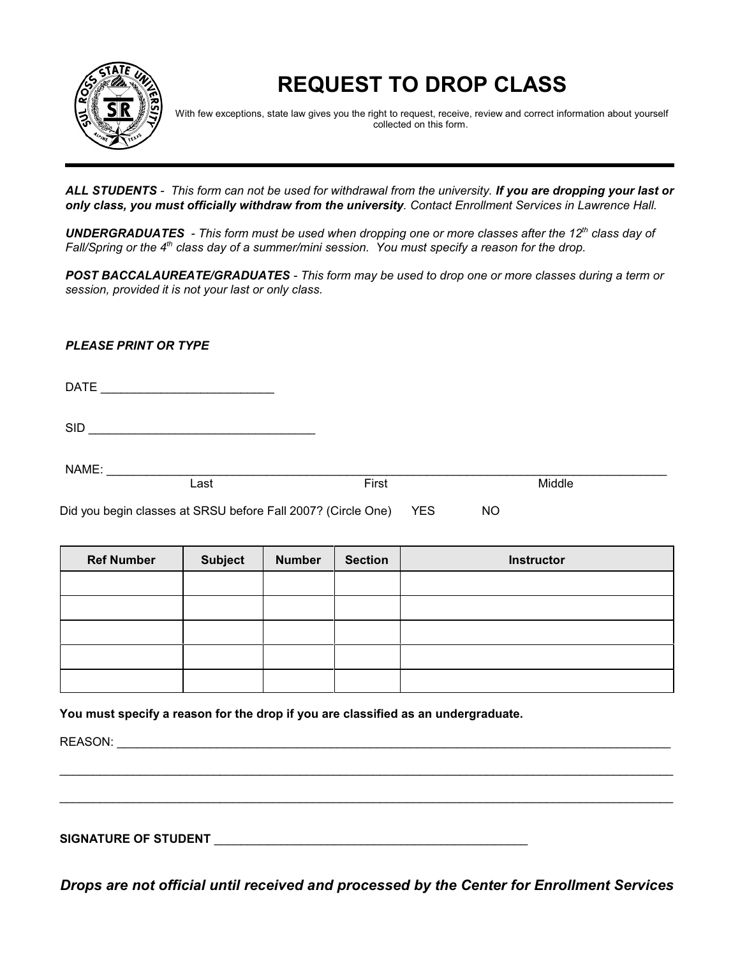

# **REQUEST TO DROP CLASS**

With few exceptions, state law gives you the right to request, receive, review and correct information about yourself collected on this form.

*ALL STUDENTS - This form can not be used for withdrawal from the university. If you are dropping your last or only class, you must officially withdraw from the university. Contact Enrollment Services in Lawrence Hall.*

**UNDERGRADUATES** - This form must be used when dropping one or more classes after the 12<sup>th</sup> class day of *Fall/Spring or the 4<sup>th</sup> class day of a summer/mini session. You must specify a reason for the drop.* 

*POST BACCALAUREATE/GRADUATES - This form may be used to drop one or more classes during a term or session, provided it is not your last or only class.*

*PLEASE PRINT OR TYPE*

DATE \_\_\_\_\_\_\_\_\_\_\_\_\_\_\_\_\_\_\_\_\_\_\_\_\_\_

 $SID$ 

NAME: \_\_\_\_\_\_\_\_\_\_\_\_\_\_\_\_\_\_\_\_\_\_\_\_\_\_\_\_\_\_\_\_\_\_\_\_\_\_\_\_\_\_\_\_\_\_\_\_\_\_\_\_\_\_\_\_\_\_\_\_\_\_\_\_\_\_\_\_\_\_\_\_\_\_\_\_\_\_\_\_\_\_\_\_

Last **Example 1** Contract First **Contract Contract Act of Act of Act of Act of Act of Act of Act of Act of Act o** 

Did you begin classes at SRSU before Fall 2007? (Circle One) YES NO

| <b>Ref Number</b> | <b>Subject</b> | <b>Number</b> | <b>Section</b> | <b>Instructor</b> |
|-------------------|----------------|---------------|----------------|-------------------|
|                   |                |               |                |                   |
|                   |                |               |                |                   |
|                   |                |               |                |                   |
|                   |                |               |                |                   |
|                   |                |               |                |                   |

**You must specify a reason for the drop if you are classified as an undergraduate.** 

REASON: \_\_\_\_\_\_\_\_\_\_\_\_\_\_\_\_\_\_\_\_\_\_\_\_\_\_\_\_\_\_\_\_\_\_\_\_\_\_\_\_\_\_\_\_\_\_\_\_\_\_\_\_\_\_\_\_\_\_\_\_\_\_\_\_\_\_\_\_\_\_\_\_\_\_\_\_\_\_\_\_\_\_\_

SIGNATURE OF STUDENT **EXECUTE ASSESSED ASSESSED ASSESSED.** 

*Drops are not official until received and processed by the Center for Enrollment Services*

\_\_\_\_\_\_\_\_\_\_\_\_\_\_\_\_\_\_\_\_\_\_\_\_\_\_\_\_\_\_\_\_\_\_\_\_\_\_\_\_\_\_\_\_\_\_\_\_\_\_\_\_\_\_\_\_\_\_\_\_\_\_\_\_\_\_\_\_\_\_\_\_\_\_\_\_\_\_\_\_\_\_\_\_\_\_\_\_\_\_\_\_

\_\_\_\_\_\_\_\_\_\_\_\_\_\_\_\_\_\_\_\_\_\_\_\_\_\_\_\_\_\_\_\_\_\_\_\_\_\_\_\_\_\_\_\_\_\_\_\_\_\_\_\_\_\_\_\_\_\_\_\_\_\_\_\_\_\_\_\_\_\_\_\_\_\_\_\_\_\_\_\_\_\_\_\_\_\_\_\_\_\_\_\_